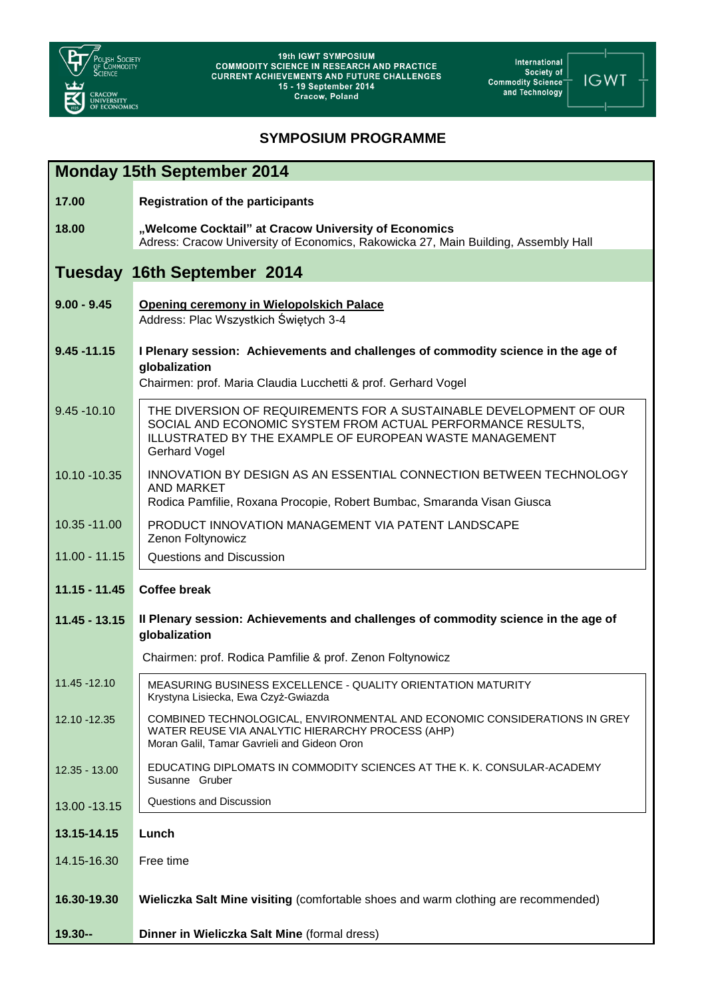

International<br>Society of<br>"Commodity Science<br>"and Technology

-1 **IGWT** 

## **SYMPOSIUM PROGRAMME**

| <b>Monday 15th September 2014</b>  |                                                                                                                                                                                                                      |  |
|------------------------------------|----------------------------------------------------------------------------------------------------------------------------------------------------------------------------------------------------------------------|--|
| 17.00                              | <b>Registration of the participants</b>                                                                                                                                                                              |  |
| 18.00                              | "Welcome Cocktail" at Cracow University of Economics<br>Adress: Cracow University of Economics, Rakowicka 27, Main Building, Assembly Hall                                                                           |  |
| <b>Tuesday 16th September 2014</b> |                                                                                                                                                                                                                      |  |
| $9.00 - 9.45$                      | <b>Opening ceremony in Wielopolskich Palace</b><br>Address: Plac Wszystkich Świętych 3-4                                                                                                                             |  |
| $9.45 - 11.15$                     | I Plenary session: Achievements and challenges of commodity science in the age of<br>globalization<br>Chairmen: prof. Maria Claudia Lucchetti & prof. Gerhard Vogel                                                  |  |
| $9.45 - 10.10$                     | THE DIVERSION OF REQUIREMENTS FOR A SUSTAINABLE DEVELOPMENT OF OUR<br>SOCIAL AND ECONOMIC SYSTEM FROM ACTUAL PERFORMANCE RESULTS,<br>ILLUSTRATED BY THE EXAMPLE OF EUROPEAN WASTE MANAGEMENT<br><b>Gerhard Vogel</b> |  |
| 10.10 - 10.35                      | INNOVATION BY DESIGN AS AN ESSENTIAL CONNECTION BETWEEN TECHNOLOGY<br><b>AND MARKET</b><br>Rodica Pamfilie, Roxana Procopie, Robert Bumbac, Smaranda Visan Giusca                                                    |  |
| 10.35 - 11.00                      | PRODUCT INNOVATION MANAGEMENT VIA PATENT LANDSCAPE<br>Zenon Foltynowicz                                                                                                                                              |  |
| $11.00 - 11.15$                    | Questions and Discussion                                                                                                                                                                                             |  |
| $11.15 - 11.45$                    | <b>Coffee break</b>                                                                                                                                                                                                  |  |
| $11.45 - 13.15$                    | Il Plenary session: Achievements and challenges of commodity science in the age of<br>globalization                                                                                                                  |  |
|                                    | Chairmen: prof. Rodica Pamfilie & prof. Zenon Foltynowicz                                                                                                                                                            |  |
| 11.45 - 12.10                      | MEASURING BUSINESS EXCELLENCE - QUALITY ORIENTATION MATURITY<br>Krystyna Lisiecka, Ewa Czyż-Gwiazda                                                                                                                  |  |
| 12.10 - 12.35                      | COMBINED TECHNOLOGICAL, ENVIRONMENTAL AND ECONOMIC CONSIDERATIONS IN GREY<br>WATER REUSE VIA ANALYTIC HIERARCHY PROCESS (AHP)<br>Moran Galil, Tamar Gavrieli and Gideon Oron                                         |  |
| $12.35 - 13.00$                    | EDUCATING DIPLOMATS IN COMMODITY SCIENCES AT THE K. K. CONSULAR-ACADEMY<br>Susanne Gruber                                                                                                                            |  |
| 13.00 - 13.15                      | Questions and Discussion                                                                                                                                                                                             |  |
| 13.15-14.15                        | Lunch                                                                                                                                                                                                                |  |
| 14.15-16.30                        | Free time                                                                                                                                                                                                            |  |
| 16.30-19.30                        | Wieliczka Salt Mine visiting (comfortable shoes and warm clothing are recommended)                                                                                                                                   |  |
| $19.30 -$                          | Dinner in Wieliczka Salt Mine (formal dress)                                                                                                                                                                         |  |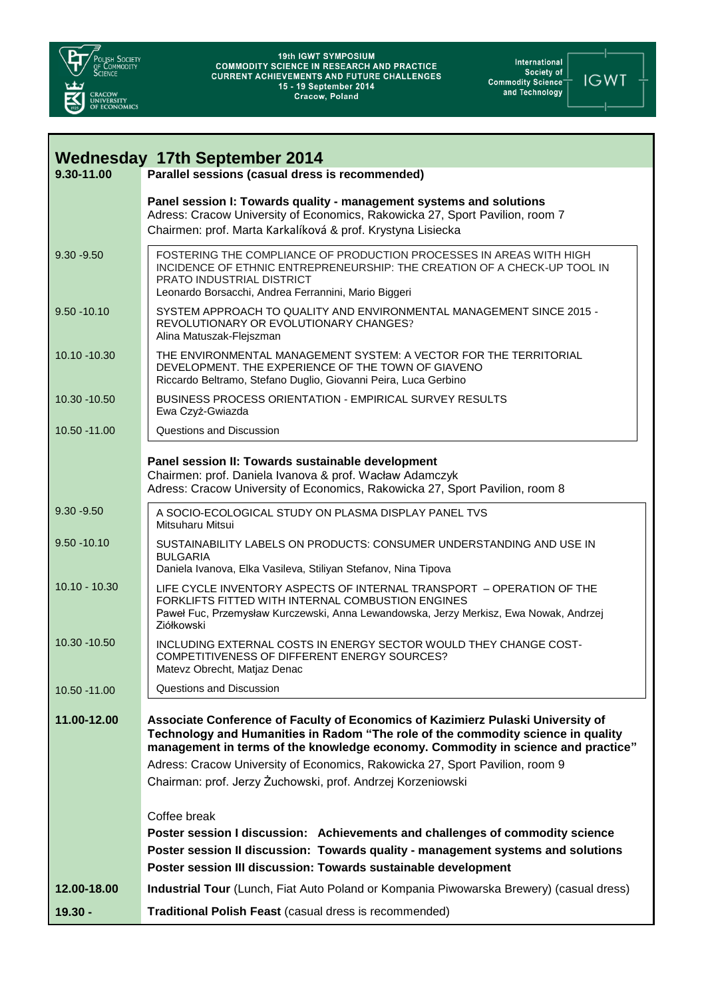

International<br>Fociety of<br>Commodity Science<br>and Technology

**IGWT** 

| <b>Wednesday 17th September 2014</b> |                                                                                                                                                                                                                                                                                                                                                                                                        |  |
|--------------------------------------|--------------------------------------------------------------------------------------------------------------------------------------------------------------------------------------------------------------------------------------------------------------------------------------------------------------------------------------------------------------------------------------------------------|--|
| 9.30-11.00                           | Parallel sessions (casual dress is recommended)                                                                                                                                                                                                                                                                                                                                                        |  |
|                                      | Panel session I: Towards quality - management systems and solutions<br>Adress: Cracow University of Economics, Rakowicka 27, Sport Pavilion, room 7<br>Chairmen: prof. Marta Karkalíková & prof. Krystyna Lisiecka                                                                                                                                                                                     |  |
| $9.30 - 9.50$                        | FOSTERING THE COMPLIANCE OF PRODUCTION PROCESSES IN AREAS WITH HIGH<br>INCIDENCE OF ETHNIC ENTREPRENEURSHIP: THE CREATION OF A CHECK-UP TOOL IN<br>PRATO INDUSTRIAL DISTRICT<br>Leonardo Borsacchi, Andrea Ferrannini, Mario Biggeri                                                                                                                                                                   |  |
| $9.50 - 10.10$                       | SYSTEM APPROACH TO QUALITY AND ENVIRONMENTAL MANAGEMENT SINCE 2015 -<br>REVOLUTIONARY OR EVOLUTIONARY CHANGES?<br>Alina Matuszak-Flejszman                                                                                                                                                                                                                                                             |  |
| 10.10 -10.30                         | THE ENVIRONMENTAL MANAGEMENT SYSTEM: A VECTOR FOR THE TERRITORIAL<br>DEVELOPMENT. THE EXPERIENCE OF THE TOWN OF GIAVENO<br>Riccardo Beltramo, Stefano Duglio, Giovanni Peira, Luca Gerbino                                                                                                                                                                                                             |  |
| 10.30 - 10.50                        | BUSINESS PROCESS ORIENTATION - EMPIRICAL SURVEY RESULTS<br>Ewa Czyż-Gwiazda                                                                                                                                                                                                                                                                                                                            |  |
| 10.50 - 11.00                        | Questions and Discussion                                                                                                                                                                                                                                                                                                                                                                               |  |
|                                      | Panel session II: Towards sustainable development<br>Chairmen: prof. Daniela Ivanova & prof. Wacław Adamczyk<br>Adress: Cracow University of Economics, Rakowicka 27, Sport Pavilion, room 8                                                                                                                                                                                                           |  |
| $9.30 - 9.50$                        | A SOCIO-ECOLOGICAL STUDY ON PLASMA DISPLAY PANEL TVS<br>Mitsuharu Mitsui                                                                                                                                                                                                                                                                                                                               |  |
| $9.50 - 10.10$                       | SUSTAINABILITY LABELS ON PRODUCTS: CONSUMER UNDERSTANDING AND USE IN<br><b>BULGARIA</b><br>Daniela Ivanova, Elka Vasileva, Stiliyan Stefanov, Nina Tipova                                                                                                                                                                                                                                              |  |
| $10.10 - 10.30$                      | LIFE CYCLE INVENTORY ASPECTS OF INTERNAL TRANSPORT - OPERATION OF THE<br>FORKLIFTS FITTED WITH INTERNAL COMBUSTION ENGINES<br>Paweł Fuc, Przemysław Kurczewski, Anna Lewandowska, Jerzy Merkisz, Ewa Nowak, Andrzej<br>Ziółkowski                                                                                                                                                                      |  |
| 10.30 - 10.50                        | INCLUDING EXTERNAL COSTS IN ENERGY SECTOR WOULD THEY CHANGE COST-<br>COMPETITIVENESS OF DIFFERENT ENERGY SOURCES?<br>Matevz Obrecht, Matjaz Denac                                                                                                                                                                                                                                                      |  |
| 10.50 -11.00                         | Questions and Discussion                                                                                                                                                                                                                                                                                                                                                                               |  |
| 11.00-12.00                          | Associate Conference of Faculty of Economics of Kazimierz Pulaski University of<br>Technology and Humanities in Radom "The role of the commodity science in quality<br>management in terms of the knowledge economy. Commodity in science and practice"<br>Adress: Cracow University of Economics, Rakowicka 27, Sport Pavilion, room 9<br>Chairman: prof. Jerzy Żuchowski, prof. Andrzej Korzeniowski |  |
|                                      | Coffee break<br>Poster session I discussion: Achievements and challenges of commodity science<br>Poster session II discussion: Towards quality - management systems and solutions<br>Poster session III discussion: Towards sustainable development                                                                                                                                                    |  |
| 12.00-18.00                          | Industrial Tour (Lunch, Fiat Auto Poland or Kompania Piwowarska Brewery) (casual dress)                                                                                                                                                                                                                                                                                                                |  |
| $19.30 -$                            | Traditional Polish Feast (casual dress is recommended)                                                                                                                                                                                                                                                                                                                                                 |  |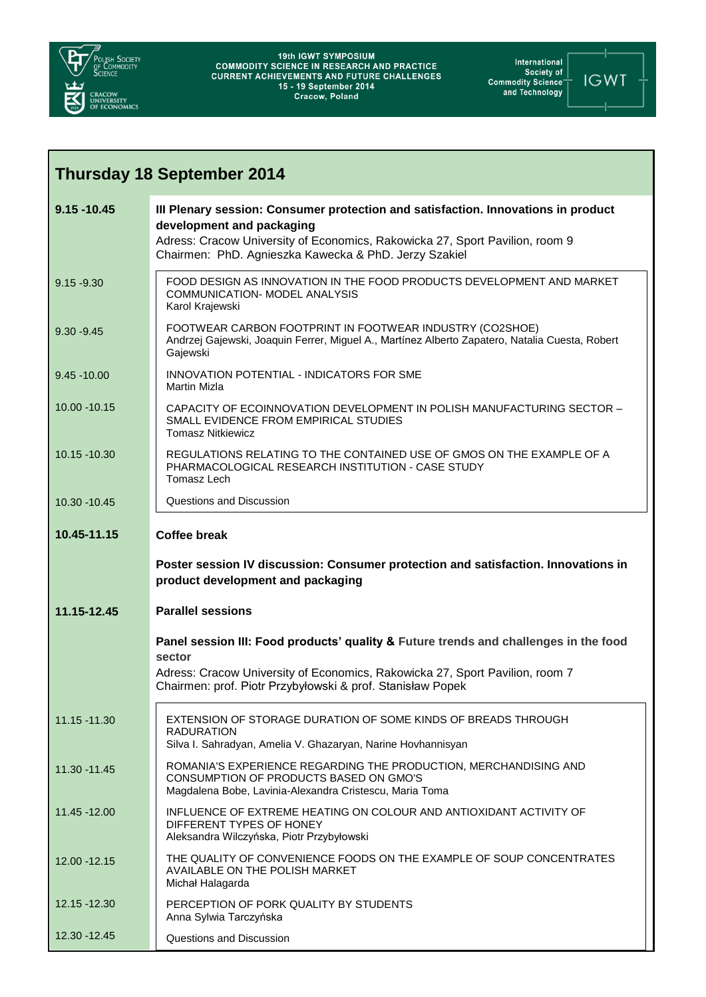

International<br>Fociety of Society<br>Commodity Science<br>The and Technology



| <b>Thursday 18 September 2014</b> |                                                                                                                                                                                                                                                         |  |
|-----------------------------------|---------------------------------------------------------------------------------------------------------------------------------------------------------------------------------------------------------------------------------------------------------|--|
| $9.15 - 10.45$                    | III Plenary session: Consumer protection and satisfaction. Innovations in product<br>development and packaging<br>Adress: Cracow University of Economics, Rakowicka 27, Sport Pavilion, room 9<br>Chairmen: PhD. Agnieszka Kawecka & PhD. Jerzy Szakiel |  |
| $9.15 - 9.30$                     | FOOD DESIGN AS INNOVATION IN THE FOOD PRODUCTS DEVELOPMENT AND MARKET<br>COMMUNICATION- MODEL ANALYSIS<br>Karol Krajewski                                                                                                                               |  |
| $9.30 - 9.45$                     | FOOTWEAR CARBON FOOTPRINT IN FOOTWEAR INDUSTRY (CO2SHOE)<br>Andrzej Gajewski, Joaquin Ferrer, Miguel A., Martínez Alberto Zapatero, Natalia Cuesta, Robert<br>Gajewski                                                                                  |  |
| $9.45 - 10.00$                    | INNOVATION POTENTIAL - INDICATORS FOR SME<br><b>Martin Mizla</b>                                                                                                                                                                                        |  |
| 10.00 - 10.15                     | CAPACITY OF ECOINNOVATION DEVELOPMENT IN POLISH MANUFACTURING SECTOR -<br>SMALL EVIDENCE FROM EMPIRICAL STUDIES<br><b>Tomasz Nitkiewicz</b>                                                                                                             |  |
| 10.15 -10.30                      | REGULATIONS RELATING TO THE CONTAINED USE OF GMOS ON THE EXAMPLE OF A<br>PHARMACOLOGICAL RESEARCH INSTITUTION - CASE STUDY<br>Tomasz Lech                                                                                                               |  |
| 10.30 - 10.45                     | Questions and Discussion                                                                                                                                                                                                                                |  |
| 10.45-11.15                       | <b>Coffee break</b>                                                                                                                                                                                                                                     |  |
|                                   | Poster session IV discussion: Consumer protection and satisfaction. Innovations in<br>product development and packaging                                                                                                                                 |  |
| 11.15-12.45                       | <b>Parallel sessions</b>                                                                                                                                                                                                                                |  |
|                                   | Panel session III: Food products' quality & Future trends and challenges in the food<br>sector                                                                                                                                                          |  |
|                                   | Adress: Cracow University of Economics, Rakowicka 27, Sport Pavilion, room 7<br>Chairmen: prof. Piotr Przybyłowski & prof. Stanisław Popek                                                                                                              |  |
| 11.15 -11.30                      | EXTENSION OF STORAGE DURATION OF SOME KINDS OF BREADS THROUGH<br><b>RADURATION</b><br>Silva I. Sahradyan, Amelia V. Ghazaryan, Narine Hovhannisyan                                                                                                      |  |
| 11.30 - 11.45                     |                                                                                                                                                                                                                                                         |  |
|                                   | ROMANIA'S EXPERIENCE REGARDING THE PRODUCTION, MERCHANDISING AND<br>CONSUMPTION OF PRODUCTS BASED ON GMO'S<br>Magdalena Bobe, Lavinia-Alexandra Cristescu, Maria Toma                                                                                   |  |
| 11.45 - 12.00                     | INFLUENCE OF EXTREME HEATING ON COLOUR AND ANTIOXIDANT ACTIVITY OF<br>DIFFERENT TYPES OF HONEY<br>Aleksandra Wilczyńska, Piotr Przybyłowski                                                                                                             |  |
| 12.00 - 12.15                     | THE QUALITY OF CONVENIENCE FOODS ON THE EXAMPLE OF SOUP CONCENTRATES<br>AVAILABLE ON THE POLISH MARKET<br>Michał Halagarda                                                                                                                              |  |
| 12.15 - 12.30                     | PERCEPTION OF PORK QUALITY BY STUDENTS<br>Anna Sylwia Tarczyńska                                                                                                                                                                                        |  |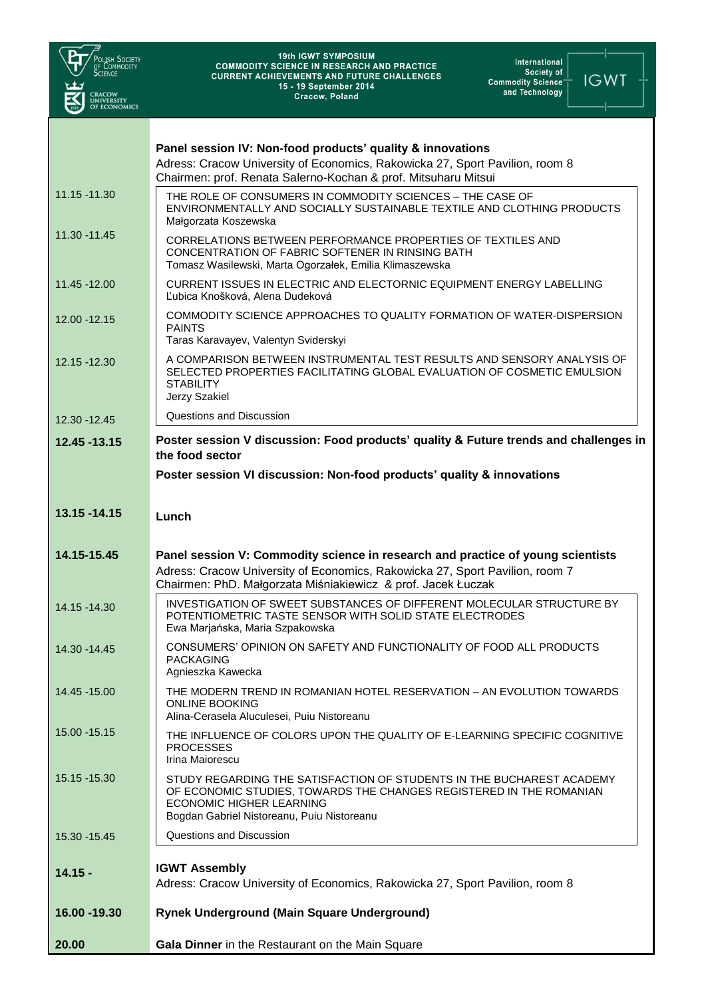| OLISH SOCIETY<br>of Commodity<br>Science<br><b>CRACOW<br/>UNIVERSITY<br/>OF ECONOMICS</b> | <b>19th IGWT SYMPOSIUM</b><br>International<br><b>COMMODITY SCIENCE IN RESEARCH AND PRACTICE</b><br>Society of<br><b>CURRENT ACHIEVEMENTS AND FUTURE CHALLENGES</b><br><b>IGWT</b><br><b>Commodity Science<sup>-</sup></b><br>15 - 19 September 2014<br>and Technology<br><b>Cracow, Poland</b> |
|-------------------------------------------------------------------------------------------|-------------------------------------------------------------------------------------------------------------------------------------------------------------------------------------------------------------------------------------------------------------------------------------------------|
|                                                                                           | Panel session IV: Non-food products' quality & innovations<br>Adress: Cracow University of Economics, Rakowicka 27, Sport Pavilion, room 8<br>Chairmen: prof. Renata Salerno-Kochan & prof. Mitsuharu Mitsui                                                                                    |
| 11.15 -11.30                                                                              | THE ROLE OF CONSUMERS IN COMMODITY SCIENCES – THE CASE OF<br>ENVIRONMENTALLY AND SOCIALLY SUSTAINABLE TEXTILE AND CLOTHING PRODUCTS<br>Małgorzata Koszewska                                                                                                                                     |
| 11.30 - 11.45                                                                             | CORRELATIONS BETWEEN PERFORMANCE PROPERTIES OF TEXTILES AND<br>CONCENTRATION OF FABRIC SOFTENER IN RINSING BATH<br>Tomasz Wasilewski, Marta Ogorzałek, Emilia Klimaszewska                                                                                                                      |
| 11.45 - 12.00                                                                             | CURRENT ISSUES IN ELECTRIC AND ELECTORNIC EQUIPMENT ENERGY LABELLING<br>Ľubica Knošková, Alena Dudeková                                                                                                                                                                                         |
| 12.00 - 12.15                                                                             | COMMODITY SCIENCE APPROACHES TO QUALITY FORMATION OF WATER-DISPERSION<br><b>PAINTS</b><br>Taras Karavayev, Valentyn Sviderskyi                                                                                                                                                                  |
| 12.15 -12.30                                                                              | A COMPARISON BETWEEN INSTRUMENTAL TEST RESULTS AND SENSORY ANALYSIS OF<br>SELECTED PROPERTIES FACILITATING GLOBAL EVALUATION OF COSMETIC EMULSION<br><b>STABILITY</b><br>Jerzy Szakiel                                                                                                          |
| 12.30 - 12.45                                                                             | Questions and Discussion                                                                                                                                                                                                                                                                        |
| 12.45 - 13.15                                                                             | Poster session V discussion: Food products' quality & Future trends and challenges in<br>the food sector                                                                                                                                                                                        |
|                                                                                           | Poster session VI discussion: Non-food products' quality & innovations                                                                                                                                                                                                                          |
| 13.15 - 14.15                                                                             | Lunch                                                                                                                                                                                                                                                                                           |
| 14.15-15.45                                                                               | Panel session V: Commodity science in research and practice of young scientists<br>Adress: Cracow University of Economics, Rakowicka 27, Sport Pavilion, room 7<br>Chairmen: PhD. Małgorzata Miśniakiewicz & prof. Jacek Łuczak                                                                 |
| 14.15 -14.30                                                                              | INVESTIGATION OF SWEET SUBSTANCES OF DIFFERENT MOLECULAR STRUCTURE BY<br>POTENTIOMETRIC TASTE SENSOR WITH SOLID STATE ELECTRODES<br>Ewa Marjańska, Maria Szpakowska                                                                                                                             |
| 14.30 - 14.45                                                                             | CONSUMERS' OPINION ON SAFETY AND FUNCTIONALITY OF FOOD ALL PRODUCTS<br><b>PACKAGING</b><br>Agnieszka Kawecka                                                                                                                                                                                    |
| 14.45 - 15.00                                                                             | THE MODERN TREND IN ROMANIAN HOTEL RESERVATION – AN EVOLUTION TOWARDS<br><b>ONLINE BOOKING</b><br>Alina-Cerasela Aluculesei, Puiu Nistoreanu                                                                                                                                                    |
| 15.00 - 15.15                                                                             | THE INFLUENCE OF COLORS UPON THE QUALITY OF E-LEARNING SPECIFIC COGNITIVE<br><b>PROCESSES</b><br>Irina Maiorescu                                                                                                                                                                                |
| 15.15 - 15.30                                                                             | STUDY REGARDING THE SATISFACTION OF STUDENTS IN THE BUCHAREST ACADEMY<br>OF ECONOMIC STUDIES, TOWARDS THE CHANGES REGISTERED IN THE ROMANIAN<br>ECONOMIC HIGHER LEARNING<br>Bogdan Gabriel Nistoreanu, Puiu Nistoreanu                                                                          |
| 15.30 - 15.45                                                                             | Questions and Discussion                                                                                                                                                                                                                                                                        |
| $14.15 -$                                                                                 | <b>IGWT Assembly</b><br>Adress: Cracow University of Economics, Rakowicka 27, Sport Pavilion, room 8                                                                                                                                                                                            |
| 16.00 - 19.30                                                                             | <b>Rynek Underground (Main Square Underground)</b>                                                                                                                                                                                                                                              |
| 20.00                                                                                     | Gala Dinner in the Restaurant on the Main Square                                                                                                                                                                                                                                                |